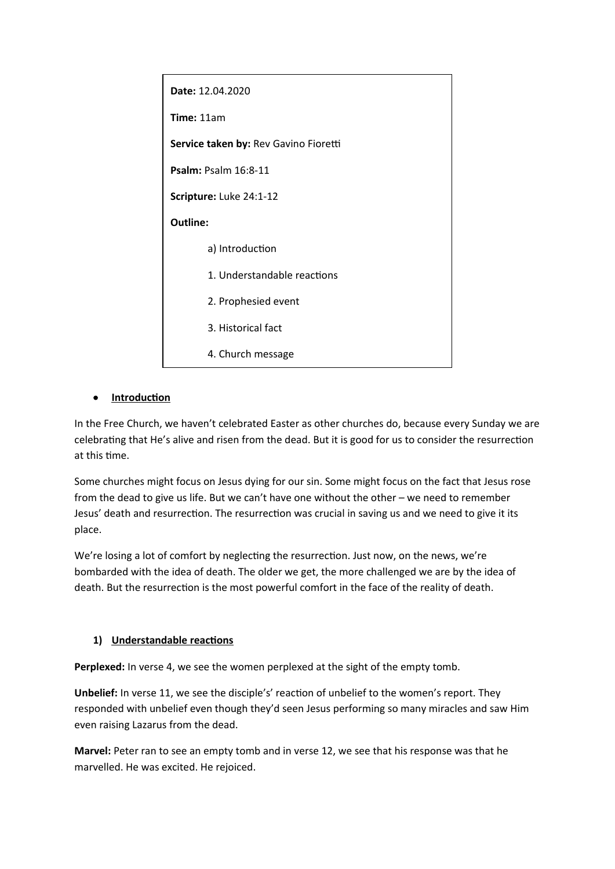**Date:** 12.04.2020 **Time:** 11am **Service taken by:** Rev Gavino Fioretti **Psalm:** Psalm 16:8-11 **Scripture:** Luke 24:1-12 **Outline:**  a) Introduction 1. Understandable reactions 2. Prophesied event 3. Historical fact 4. Church message

## **Introduction**

In the Free Church, we haven't celebrated Easter as other churches do, because every Sunday we are celebrating that He's alive and risen from the dead. But it is good for us to consider the resurrection at this time.

Some churches might focus on Jesus dying for our sin. Some might focus on the fact that Jesus rose from the dead to give us life. But we can't have one without the other – we need to remember Jesus' death and resurrection. The resurrection was crucial in saving us and we need to give it its place.

We're losing a lot of comfort by neglecting the resurrection. Just now, on the news, we're bombarded with the idea of death. The older we get, the more challenged we are by the idea of death. But the resurrection is the most powerful comfort in the face of the reality of death.

#### **1) Understandable reactions**

**Perplexed:** In verse 4, we see the women perplexed at the sight of the empty tomb.

**Unbelief:** In verse 11, we see the disciple's' reaction of unbelief to the women's report. They responded with unbelief even though they'd seen Jesus performing so many miracles and saw Him even raising Lazarus from the dead.

**Marvel:** Peter ran to see an empty tomb and in verse 12, we see that his response was that he marvelled. He was excited. He rejoiced.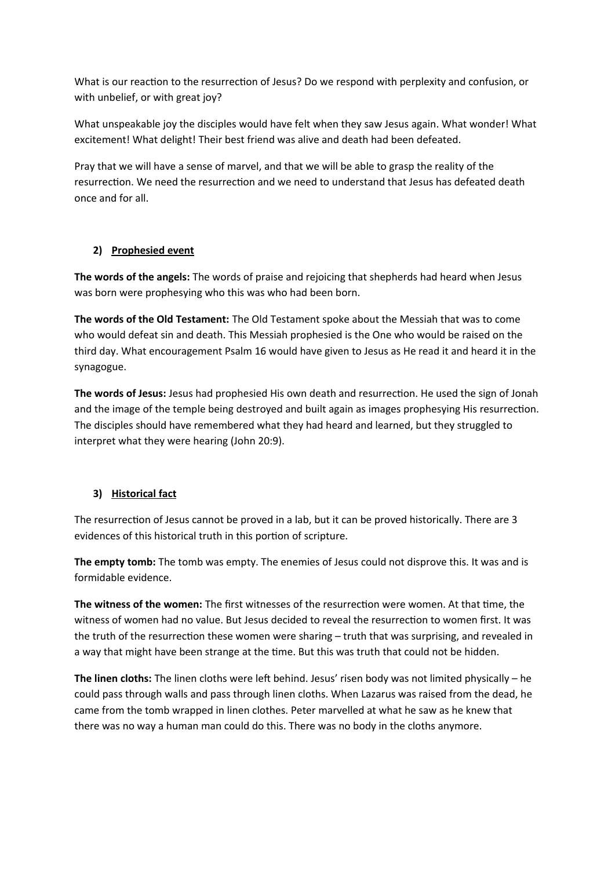What is our reaction to the resurrection of Jesus? Do we respond with perplexity and confusion, or with unbelief, or with great joy?

What unspeakable joy the disciples would have felt when they saw Jesus again. What wonder! What excitement! What delight! Their best friend was alive and death had been defeated.

Pray that we will have a sense of marvel, and that we will be able to grasp the reality of the resurrection. We need the resurrection and we need to understand that Jesus has defeated death once and for all.

## **2) Prophesied event**

**The words of the angels:** The words of praise and rejoicing that shepherds had heard when Jesus was born were prophesying who this was who had been born.

**The words of the Old Testament:** The Old Testament spoke about the Messiah that was to come who would defeat sin and death. This Messiah prophesied is the One who would be raised on the third day. What encouragement Psalm 16 would have given to Jesus as He read it and heard it in the synagogue.

**The words of Jesus:** Jesus had prophesied His own death and resurrection. He used the sign of Jonah and the image of the temple being destroyed and built again as images prophesying His resurrection. The disciples should have remembered what they had heard and learned, but they struggled to interpret what they were hearing (John 20:9).

# **3) Historical fact**

The resurrection of Jesus cannot be proved in a lab, but it can be proved historically. There are 3 evidences of this historical truth in this portion of scripture.

**The empty tomb:** The tomb was empty. The enemies of Jesus could not disprove this. It was and is formidable evidence.

**The witness of the women:** The first witnesses of the resurrection were women. At that time, the witness of women had no value. But Jesus decided to reveal the resurrection to women first. It was the truth of the resurrection these women were sharing – truth that was surprising, and revealed in a way that might have been strange at the time. But this was truth that could not be hidden.

**The linen cloths:** The linen cloths were left behind. Jesus' risen body was not limited physically – he could pass through walls and pass through linen cloths. When Lazarus was raised from the dead, he came from the tomb wrapped in linen clothes. Peter marvelled at what he saw as he knew that there was no way a human man could do this. There was no body in the cloths anymore.